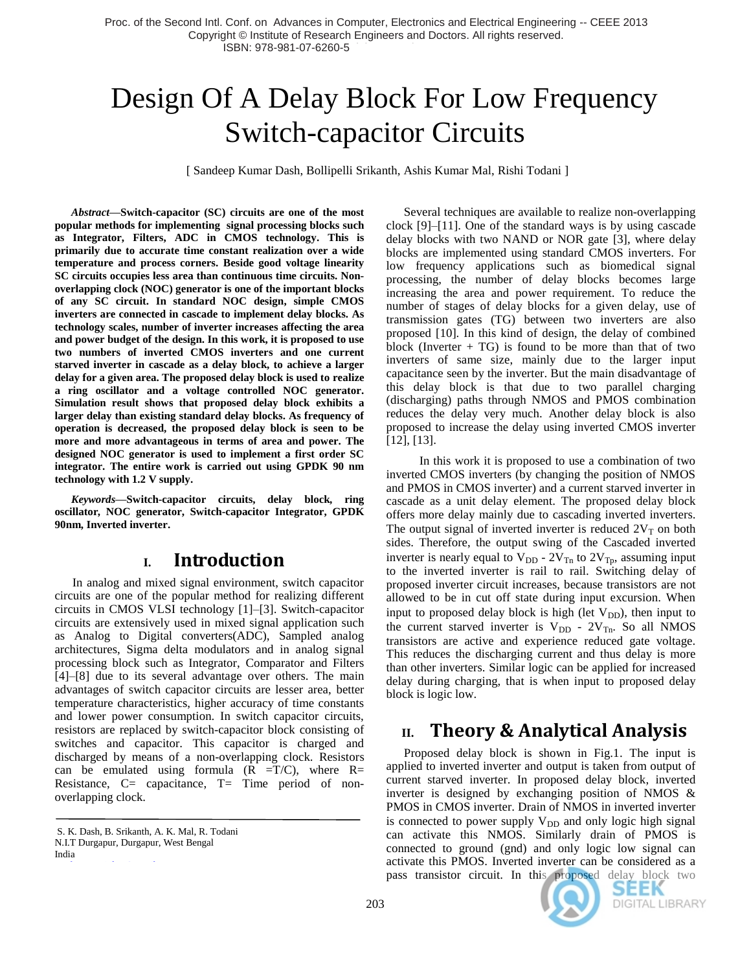# Design Of A Delay Block For Low Frequency Switch-capacitor Circuits

[ Sandeep Kumar Dash, Bollipelli Srikanth, Ashis Kumar Mal, Rishi Todani ]

*Abstract***—Switch-capacitor (SC) circuits are one of the most popular methods for implementing signal processing blocks such as Integrator, Filters, ADC in CMOS technology. This is primarily due to accurate time constant realization over a wide temperature and process corners. Beside good voltage linearity SC circuits occupies less area than continuous time circuits. Nonoverlapping clock (NOC) generator is one of the important blocks of any SC circuit. In standard NOC design, simple CMOS inverters are connected in cascade to implement delay blocks. As technology scales, number of inverter increases affecting the area and power budget of the design. In this work, it is proposed to use two numbers of inverted CMOS inverters and one current starved inverter in cascade as a delay block, to achieve a larger delay for a given area. The proposed delay block is used to realize a ring oscillator and a voltage controlled NOC generator. Simulation result shows that proposed delay block exhibits a larger delay than existing standard delay blocks. As frequency of operation is decreased, the proposed delay block is seen to be more and more advantageous in terms of area and power. The designed NOC generator is used to implement a first order SC integrator. The entire work is carried out using GPDK 90 nm technology with 1.2 V supply.** 

*Keywords***—Switch-capacitor circuits, delay block***,* **ring oscillator***,* **NOC generator, Switch-capacitor Integrator, GPDK 90nm, Inverted inverter.**

# **I. Introduction**

In analog and mixed signal environment, switch capacitor circuits are one of the popular method for realizing different circuits in CMOS VLSI technology [1]–[3]. Switch-capacitor circuits are extensively used in mixed signal application such as Analog to Digital converters(ADC), Sampled analog architectures, Sigma delta modulators and in analog signal processing block such as Integrator, Comparator and Filters [4]–[8] due to its several advantage over others. The main advantages of switch capacitor circuits are lesser area, better temperature characteristics, higher accuracy of time constants and lower power consumption. In switch capacitor circuits, resistors are replaced by switch-capacitor block consisting of switches and capacitor. This capacitor is charged and discharged by means of a non-overlapping clock. Resistors can be emulated using formula  $(R = T/C)$ , where  $R=$ Resistance,  $C=$  capacitance,  $T=$  Time period of nonoverlapping clock.

India

Several techniques are available to realize non-overlapping clock [9]–[11]. One of the standard ways is by using cascade delay blocks with two NAND or NOR gate [3], where delay blocks are implemented using standard CMOS inverters. For low frequency applications such as biomedical signal processing, the number of delay blocks becomes large increasing the area and power requirement. To reduce the number of stages of delay blocks for a given delay, use of transmission gates (TG) between two inverters are also proposed [10]. In this kind of design, the delay of combined block (Inverter  $+ TG$ ) is found to be more than that of two inverters of same size, mainly due to the larger input capacitance seen by the inverter. But the main disadvantage of this delay block is that due to two parallel charging (discharging) paths through NMOS and PMOS combination reduces the delay very much. Another delay block is also proposed to increase the delay using inverted CMOS inverter [12], [13].

 In this work it is proposed to use a combination of two inverted CMOS inverters (by changing the position of NMOS and PMOS in CMOS inverter) and a current starved inverter in cascade as a unit delay element. The proposed delay block offers more delay mainly due to cascading inverted inverters. The output signal of inverted inverter is reduced  $2V<sub>T</sub>$  on both sides. Therefore, the output swing of the Cascaded inverted inverter is nearly equal to  $V_{DD}$  -  $2V_{Tn}$  to  $2V_{Tp}$ , assuming input to the inverted inverter is rail to rail. Switching delay of proposed inverter circuit increases, because transistors are not allowed to be in cut off state during input excursion. When input to proposed delay block is high (let  $V_{DD}$ ), then input to the current starved inverter is  $V_{DD}$  -  $2V_{Tn}$ . So all NMOS transistors are active and experience reduced gate voltage. This reduces the discharging current and thus delay is more than other inverters. Similar logic can be applied for increased delay during charging, that is when input to proposed delay block is logic low.

# **II. Theory & Analytical Analysis**

Proposed delay block is shown in Fig.1. The input is applied to inverted inverter and output is taken from output of current starved inverter. In proposed delay block, inverted inverter is designed by exchanging position of NMOS & PMOS in CMOS inverter. Drain of NMOS in inverted inverter is connected to power supply  $V_{DD}$  and only logic high signal can activate this NMOS. Similarly drain of PMOS is connected to ground (gnd) and only logic low signal can activate this PMOS. Inverted inverter can be considered as a pass transistor circuit. In this proposed delay block two



S. K. Dash, B. Srikanth, A. K. Mal, R. Todani N.I.T Durgapur, Durgapur, West Bengal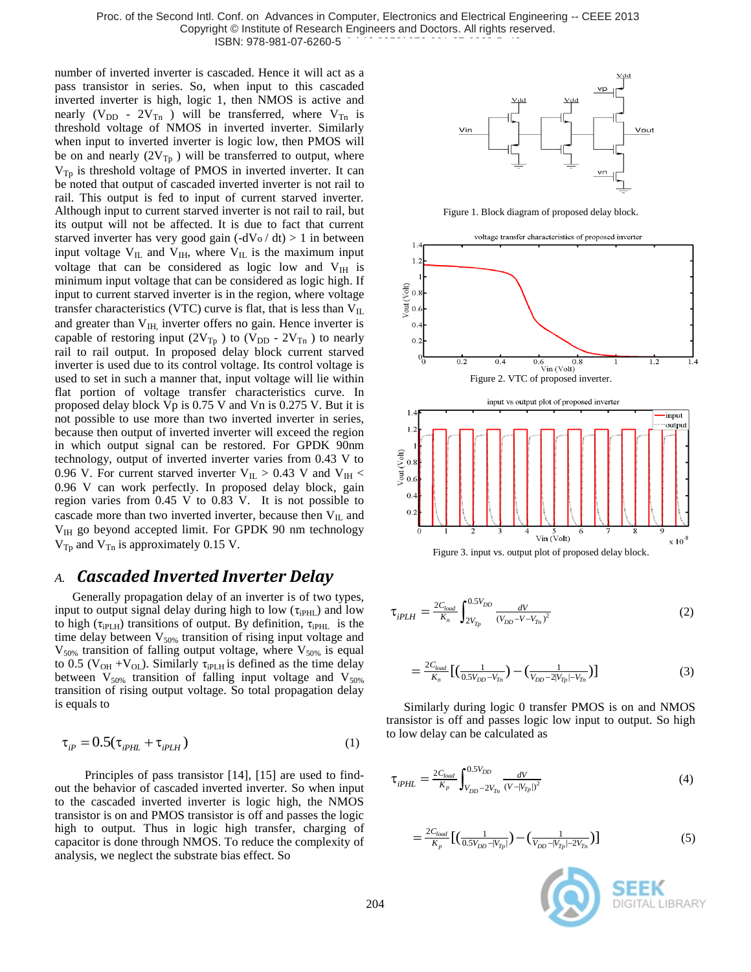Proc. of the Second Intl. Conf. on Advances in Computer, Electronics and Electrical Engineering -- CEEE 2013 Copyright © Institute of Research Engineers and Doctors. All rights reserved. ISBN: 978-981-07-6260-5

number of inverted inverter is cascaded. Hence it will act as a pass transistor in series. So, when input to this cascaded inverted inverter is high, logic 1, then NMOS is active and nearly ( $V_{DD}$  -  $2V_{Tn}$ ) will be transferred, where  $V_{Tn}$  is threshold voltage of NMOS in inverted inverter. Similarly when input to inverted inverter is logic low, then PMOS will be on and nearly  $(2V_{Tp})$  will be transferred to output, where  $V_{Tp}$  is threshold voltage of PMOS in inverted inverter. It can be noted that output of cascaded inverted inverter is not rail to rail. This output is fed to input of current starved inverter. Although input to current starved inverter is not rail to rail, but its output will not be affected. It is due to fact that current starved inverter has very good gain  $(-dV_0/dt) > 1$  in between input voltage  $V_{IL}$  and  $V_{IH}$ , where  $V_{IL}$  is the maximum input voltage that can be considered as logic low and  $V_{\text{IH}}$  is minimum input voltage that can be considered as logic high. If input to current starved inverter is in the region, where voltage transfer characteristics (VTC) curve is flat, that is less than  $V_{IL}$ and greater than  $V<sub>IH</sub>$ , inverter offers no gain. Hence inverter is capable of restoring input (2V<sub>Tp</sub>) to (V<sub>DD</sub> - 2V<sub>Tn</sub>) to nearly rail to rail output. In proposed delay block current starved inverter is used due to its control voltage. Its control voltage is used to set in such a manner that, input voltage will lie within flat portion of voltage transfer characteristics curve. In proposed delay block Vp is 0.75 V and Vn is 0.275 V. But it is not possible to use more than two inverted inverter in series, because then output of inverted inverter will exceed the region in which output signal can be restored. For GPDK 90nm technology, output of inverted inverter varies from 0.43 V to 0.96 V. For current starved inverter  $V_{\text{IL}} > 0.43$  V and  $V_{\text{IH}} <$ 0.96 V can work perfectly. In proposed delay block, gain region varies from 0.45 V to 0.83 V. It is not possible to cascade more than two inverted inverter, because then  $V_{IL}$  and  $V_{\text{IH}}$  go beyond accepted limit. For GPDK 90 nm technology  $V_{\text{Tp}}$  and  $V_{\text{Tn}}$  is approximately 0.15 V.

# *A. Cascaded Inverted Inverter Delay*

Generally propagation delay of an inverter is of two types, input to output signal delay during high to low  $(\tau_{iPHL})$  and low to high ( $\tau_{i\text{PLH}}$ ) transitions of output. By definition,  $\tau_{i\text{PHL}}$  is the time delay between  $V_{50\%}$  transition of rising input voltage and  $V_{50\%}$  transition of falling output voltage, where  $V_{50\%}$  is equal to 0.5 ( $V_{OH} + V_{OL}$ ). Similarly  $\tau_{iPLH}$  is defined as the time delay between  $V_{50\%}$  transition of falling input voltage and  $V_{50\%}$ transition of rising output voltage. So total propagation delay is equals to

$$
\tau_{ip} = 0.5(\tau_{ipHL} + \tau_{ipLH})
$$
\n(1)

 Principles of pass transistor [14], [15] are used to findout the behavior of cascaded inverted inverter. So when input to the cascaded inverted inverter is logic high, the NMOS transistor is on and PMOS transistor is off and passes the logic high to output. Thus in logic high transfer, charging of capacitor is done through NMOS. To reduce the complexity of analysis, we neglect the substrate bias effect. So



Figure 1. Block diagram of proposed delay block.



$$
\tau_{iPLH} = \frac{2C_{load}}{K_n} \int_{2V_{Tp}}^{0.5V_{DD}} \frac{dV}{(V_{DD} - V - V_{Tn})^2}
$$
(2)

$$
=\frac{2C_{load}}{K_n} \left[ \left( \frac{1}{0.5V_{DD} - V_{Tn}} \right) - \left( \frac{1}{V_{DD} - 2|V_{Tp}| - V_{Tn}} \right) \right]
$$
(3)

Similarly during logic 0 transfer PMOS is on and NMOS transistor is off and passes logic low input to output. So high to low delay can be calculated as

$$
\tau_{iPHL} = \frac{2C_{load}}{K_p} \int_{V_{DD} - 2V_{Tn}}^{0.5V_{DD}} \frac{dV}{(V - |V_{Tp}|)^2}
$$
(4)

$$
=\frac{2C_{load}}{K_p} \left[ \left( \frac{1}{0.5V_{DD} - |V_{Tp}|} \right) - \left( \frac{1}{V_{DD} - |V_{Tp}| - 2V_{Tn}} \right) \right]
$$
(5)

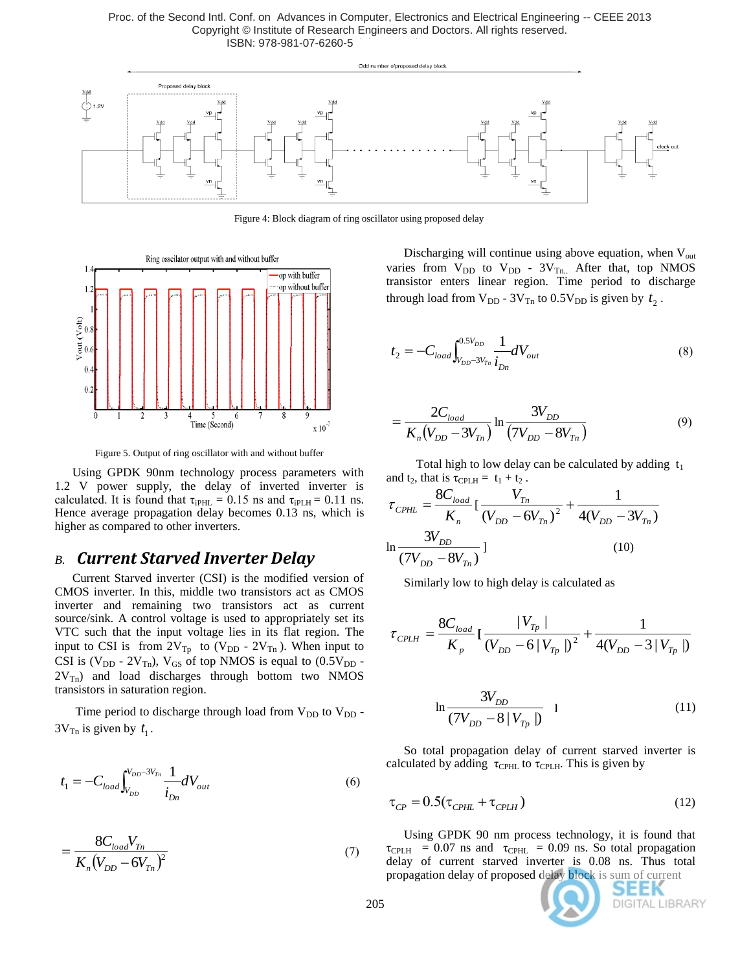Proc. of the Second Intl. Conf. on Advances in Computer, Electronics and Electrical Engineering -- CEEE 2013 Copyright © Institute of Research Engineers and Doctors. All rights reserved. ISBN: 978-981-07-6260-5



Figure 4: Block diagram of ring oscillator using proposed delay



Figure 5. Output of ring oscillator with and without buffer

Using GPDK 90nm technology process parameters with 1.2 V power supply, the delay of inverted inverter is calculated. It is found that  $\tau_{iPHL} = 0.15$  ns and  $\tau_{iPLH} = 0.11$  ns. Hence average propagation delay becomes 0.13 ns, which is higher as compared to other inverters.

# *B. Current Starved Inverter Delay*

Current Starved inverter (CSI) is the modified version of CMOS inverter. In this, middle two transistors act as CMOS inverter and remaining two transistors act as current source/sink. A control voltage is used to appropriately set its VTC such that the input voltage lies in its flat region. The input to CSI is from  $2V_{Tp}$  to  $(V_{DD} - 2V_{Tn})$ . When input to CSI is  $(V_{DD} - 2V_{Tn})$ ,  $V_{GS}$  of top NMOS is equal to  $(0.5V_{DD} 2V_{\text{Th}}$ ) and load discharges through bottom two NMOS transistors in saturation region.

Time period to discharge through load from  $V_{DD}$  to  $V_{DD}$ .  $3V_{\text{Tn}}$  is given by  $t_1$ .

$$
t_1 = -C_{load} \int_{V_{DD}}^{V_{DD} - 3V_{Tn}} \frac{1}{i_{Dn}} dV_{out}
$$
 (6)

$$
=\frac{8C_{load}V_{Tn}}{K_n(V_{DD}-6V_{Tn})^2}
$$
(7)

Discharging will continue using above equation, when  $V_{out}$ varies from  $V_{DD}$  to  $V_{DD}$  -  $3V_{Tn}$ . After that, top NMOS transistor enters linear region. Time period to discharge through load from  $V_{DD}$  -  $3V_{Tn}$  to  $0.5V_{DD}$  is given by  $t_2$ .

$$
t_2 = -C_{load} \int_{V_{DD} - 3V_{Tn}}^{0.5V_{DD}} \frac{1}{i_{Dn}} dV_{out}
$$
 (8)

$$
=\frac{2C_{load}}{K_n(V_{DD}-3V_{Tn})}\ln\frac{3V_{DD}}{(7V_{DD}-8V_{Tn})}
$$
(9)

Total high to low delay can be calculated by adding  $t_1$ and  $t_2$ , that is  $\tau_{\text{CPLH}} = t_1 + t_2$ .

$$
\tau_{\text{CPHL}} = \frac{8C_{\text{load}}}{K_n} \left[ \frac{V_{T_n}}{(V_{DD} - 6V_{T_n})^2} + \frac{1}{4(V_{DD} - 3V_{T_n})} \right]
$$
  

$$
\ln \frac{3V_{DD}}{(7V_{DD} - 8V_{T_n})} \left[ \frac{(10)^2}{2} \right]
$$

Similarly low to high delay is calculated as

$$
\tau_{\text{CPLH}} = \frac{8C_{load}}{K_p} \left[ \frac{V_{T_p}}{(V_{DD} - 6|V_{T_p}|)^2} + \frac{1}{4(V_{DD} - 3|V_{T_p}|)} \right]
$$

$$
\ln \frac{3V_{DD}}{(7V_{DD} - 8|V_{Tp}|)} \quad 1 \tag{11}
$$

So total propagation delay of current starved inverter is calculated by adding  $\tau_{\text{CPHL}}$  to  $\tau_{\text{CPL}}$ . This is given by

$$
\tau_{CP} = 0.5(\tau_{\text{CPHL}} + \tau_{\text{CPLH}})
$$
\n(12)

Using GPDK 90 nm process technology, it is found that  $\tau_{\text{CPLH}}$  = 0.07 ns and  $\tau_{\text{CPHL}}$  = 0.09 ns. So total propagation delay of current starved inverter is 0.08 ns. Thus total propagation delay of proposed delay block is sum of current

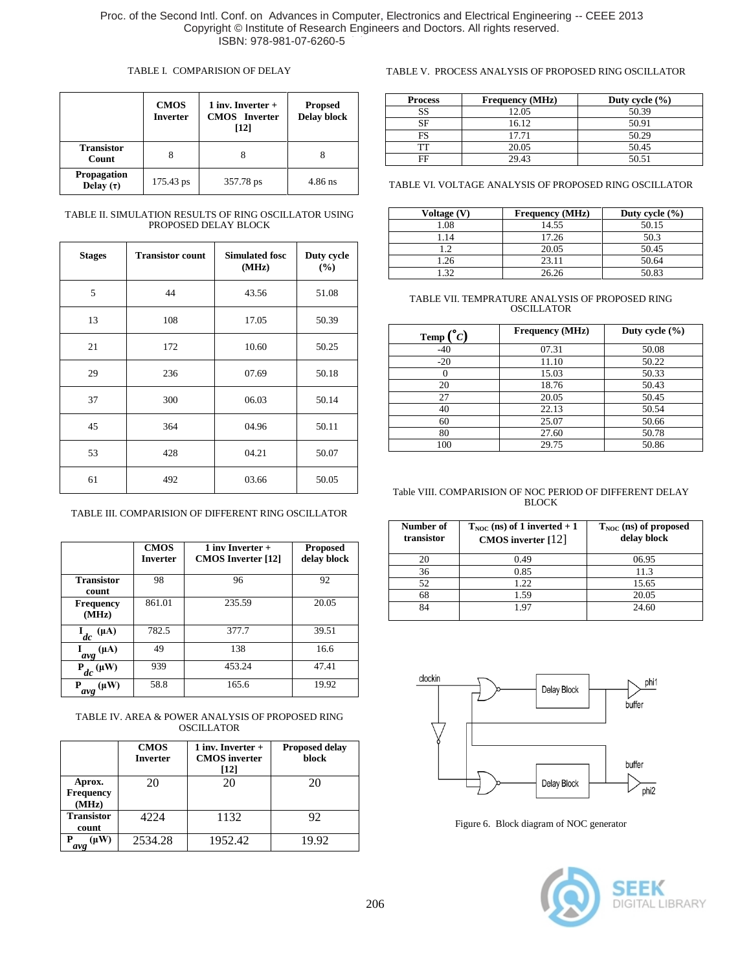#### TABLE I. COMPARISION OF DELAY

|                               | <b>CMOS</b><br><b>Inverter</b> | 1 inv. Inverter $+$<br><b>CMOS</b> Inverter<br>[12] | <b>Propsed</b><br><b>Delay block</b> |
|-------------------------------|--------------------------------|-----------------------------------------------------|--------------------------------------|
| <b>Transistor</b><br>Count    | 8                              |                                                     |                                      |
| Propagation<br>Delay $(\tau)$ | 175.43 ps                      | 357.78 ps                                           | $4.86$ ns                            |

TABLE II. SIMULATION RESULTS OF RING OSCILLATOR USING PROPOSED DELAY BLOCK

| <b>Stages</b> | <b>Transistor count</b> | <b>Simulated fosc</b><br>(MHz) | Duty cycle<br>(%) |
|---------------|-------------------------|--------------------------------|-------------------|
| 5             | 44                      | 43.56                          | 51.08             |
| 13            | 108                     | 17.05                          | 50.39             |
| 21            | 172                     | 10.60                          | 50.25             |
| 29            | 236                     | 07.69                          | 50.18             |
| 37            | 300                     | 06.03                          | 50.14             |
| 45            | 364                     | 04.96                          | 50.11             |
| 53            | 428                     | 04.21                          | 50.07             |
| 61            | 492                     | 03.66                          | 50.05             |

TABLE III. COMPARISION OF DIFFERENT RING OSCILLATOR

|                                     | <b>CMOS</b><br><b>Inverter</b> | 1 inv Inverter $+$<br><b>CMOS</b> Inverter [12] | <b>Proposed</b><br>delay block |
|-------------------------------------|--------------------------------|-------------------------------------------------|--------------------------------|
| <b>Transistor</b><br>count          | 98                             | 96                                              | 92                             |
| <b>Frequency</b><br>(MHz)           | 861.01                         | 235.59                                          | 20.05                          |
| $(\mu A)$<br>dc                     | 782.5                          | 377.7                                           | 39.51                          |
| $(\mu A)$<br>$\frac{1}{\alpha v g}$ | 49                             | 138                                             | 16.6                           |
| $P_{dc}(\mu W)$                     | 939                            | 453.24                                          | 47.41                          |
| $(\mu W)$<br>Р<br>avg               | 58.8                           | 165.6                                           | 19.92                          |

TABLE IV. AREA & POWER ANALYSIS OF PROPOSED RING **OSCILLATOR** 

|                                     | <b>CMOS</b><br><b>Inverter</b> | 1 inv. Inverter $+$<br><b>CMOS</b> inverter<br>[12] | <b>Proposed delay</b><br>block |
|-------------------------------------|--------------------------------|-----------------------------------------------------|--------------------------------|
| Aprox.<br><b>Frequency</b><br>(MHz) | 20                             | 20                                                  | 20                             |
| <b>Transistor</b><br>count          | 4224                           | 1132                                                | 92                             |
| $(\mu W)$<br>avg                    | 2534.28                        | 1952.42                                             | 19.92                          |

# TABLE V. PROCESS ANALYSIS OF PROPOSED RING OSCILLATOR

| <b>Process</b> | <b>Frequency (MHz)</b> | Duty cycle $(\% )$ |
|----------------|------------------------|--------------------|
| SS             | 12.05                  | 50.39              |
| SF             | 16.12                  | 50.91              |
| FS             | 17.71                  | 50.29              |
|                | 20.05                  | 50.45              |
| FF             | 29.43                  | 50.51              |

TABLE VI. VOLTAGE ANALYSIS OF PROPOSED RING OSCILLATOR

| Voltage (V) | <b>Frequency</b> (MHz) | Duty cycle $(\% )$ |
|-------------|------------------------|--------------------|
| 1.08        | 14.55                  | 50.15              |
| .14         | 17.26                  | 50.3               |
| $\gamma$    | 20.05                  | 50.45              |
| l.26        | 23.11                  | 50.64              |
| 20          | 26.26                  | 50.83              |

#### TABLE VII. TEMPRATURE ANALYSIS OF PROPOSED RING OSCILLATOR

| Temp $\binom{°}{c}$ | <b>Frequency (MHz)</b> | Duty cycle $(\% )$ |
|---------------------|------------------------|--------------------|
| $-40$               | 07.31                  | 50.08              |
| $-20$               | 11.10                  | 50.22              |
|                     | 15.03                  | 50.33              |
| 20                  | 18.76                  | 50.43              |
| 27                  | 20.05                  | 50.45              |
| 40                  | 22.13                  | 50.54              |
| 60                  | 25.07                  | 50.66              |
| 80                  | 27.60                  | 50.78              |
| 100                 | 29.75                  | 50.86              |

#### Table VIII. COMPARISION OF NOC PERIOD OF DIFFERENT DELAY BLOCK

| Number of<br>transistor | $T_{NOC}$ (ns) of 1 inverted + 1<br>CMOS inverter $[12]$ | $T_{NOC}$ (ns) of proposed<br>delay block |
|-------------------------|----------------------------------------------------------|-------------------------------------------|
| 20                      | 0.49                                                     | 06.95                                     |
| 36                      | 0.85                                                     | 11.3                                      |
| 52                      | 1.22                                                     | 15.65                                     |
| 68                      | 1.59                                                     | 20.05                                     |
| 84                      | 1.97                                                     | 24.60                                     |



Figure 6. Block diagram of NOC generator

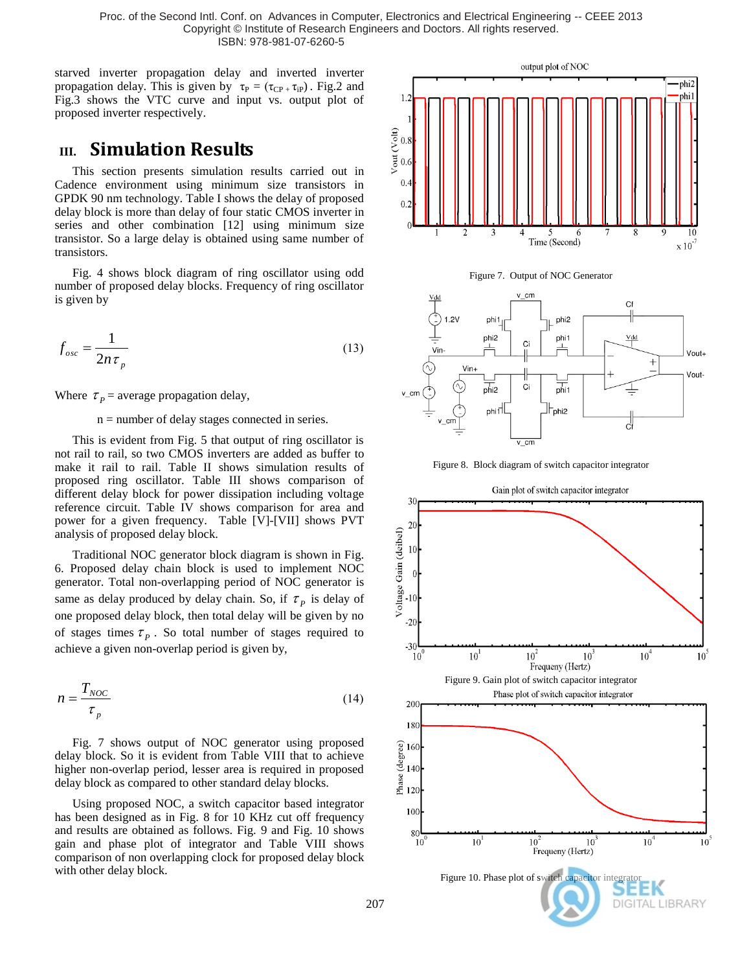Proc. of the Second Intl. Conf. on Advances in Computer, Electronics and Electrical Engineering -- CEEE 2013 Copyright © Institute of Research Engineers and Doctors. All rights reserved. ISBN: 978-981-07-6260-5

starved inverter propagation delay and inverted inverter propagation delay. This is given by  $\tau_P = (\tau_{CP} , \tau_{IP})$ . Fig.2 and Fig.3 shows the VTC curve and input vs. output plot of proposed inverter respectively.

# **III. Simulation Results**

This section presents simulation results carried out in Cadence environment using minimum size transistors in GPDK 90 nm technology. Table I shows the delay of proposed delay block is more than delay of four static CMOS inverter in series and other combination [12] using minimum size transistor. So a large delay is obtained using same number of transistors.

Fig. 4 shows block diagram of ring oscillator using odd number of proposed delay blocks. Frequency of ring oscillator is given by

$$
f_{osc} = \frac{1}{2n\tau_p} \tag{13}
$$

Where  $\tau_p$  = average propagation delay,

#### n = number of delay stages connected in series.

This is evident from Fig. 5 that output of ring oscillator is not rail to rail, so two CMOS inverters are added as buffer to make it rail to rail. Table II shows simulation results of proposed ring oscillator. Table III shows comparison of different delay block for power dissipation including voltage reference circuit. Table IV shows comparison for area and power for a given frequency. Table [V]-[VII] shows PVT analysis of proposed delay block.

Traditional NOC generator block diagram is shown in Fig. 6. Proposed delay chain block is used to implement NOC generator. Total non-overlapping period of NOC generator is same as delay produced by delay chain. So, if  $\tau_p$  is delay of one proposed delay block, then total delay will be given by no of stages times  $\tau_p$ . So total number of stages required to achieve a given non-overlap period is given by,

$$
n = \frac{T_{NOC}}{\tau_p} \tag{14}
$$

Fig. 7 shows output of NOC generator using proposed delay block. So it is evident from Table VIII that to achieve higher non-overlap period, lesser area is required in proposed delay block as compared to other standard delay blocks.

Using proposed NOC, a switch capacitor based integrator has been designed as in Fig. 8 for 10 KHz cut off frequency and results are obtained as follows. Fig. 9 and Fig. 10 shows gain and phase plot of integrator and Table VIII shows comparison of non overlapping clock for proposed delay block with other delay block.







Figure 8. Block diagram of switch capacitor integrator